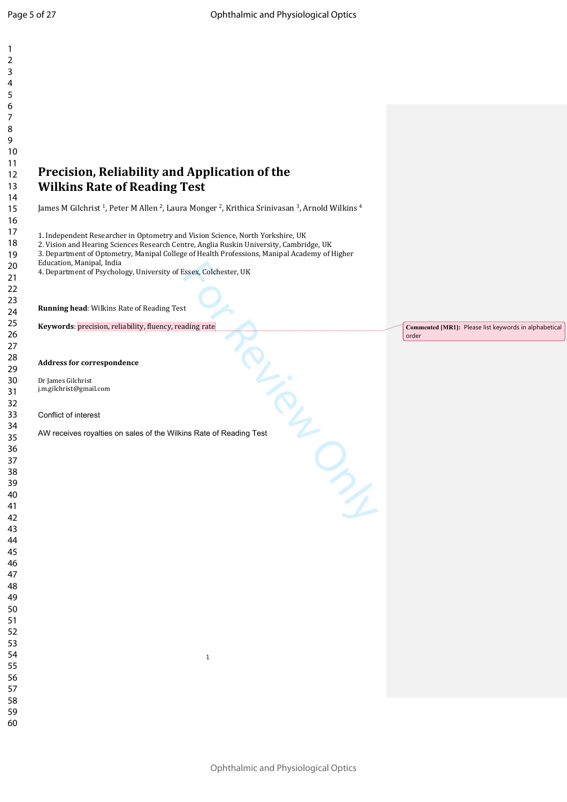# **Precision, Reliability and Application of the Wilkins Rate of Reading Test**

James M Gilchrist <sup>1</sup>, Peter M Allen <sup>2</sup>, Laura Monger <sup>2</sup>, Krithica Srinivasan <sup>3</sup>, Arnold Wilkins <sup>4</sup>

1. Independent Researcher in Optometry and Vision Science, North Yorkshire, UK

2. Vision and Hearing Sciences Research Centre, Anglia Ruskin University, Cambridge, UK

3. Department of Optometry, Manipal College of Health Professions, Manipal Academy of Higher

4. Department of Psychology, University of Essex, Colchester, UK

**Running head**: Wilkins Rate of Reading Test

**Keywords**: precision, reliability, fluency, reading rate

**Address for correspondence**

Dr James Gilchrist j.m.gilchrist@gmail.com

Conflict of interest

Education, Manipal, India<br>
4. Department of Psychology, University of Essex, Colchester, UK<br>
Running head: Wilkins Rate of Reading Test<br>
Keywords: İpredision, reliability, fluency, reading rate<br>
Address for correspondence<br> AW receives royalties on sales of the Wilkins Rate of Reading Test

**Commented [MR1]:** Please list keywords in alphabetical order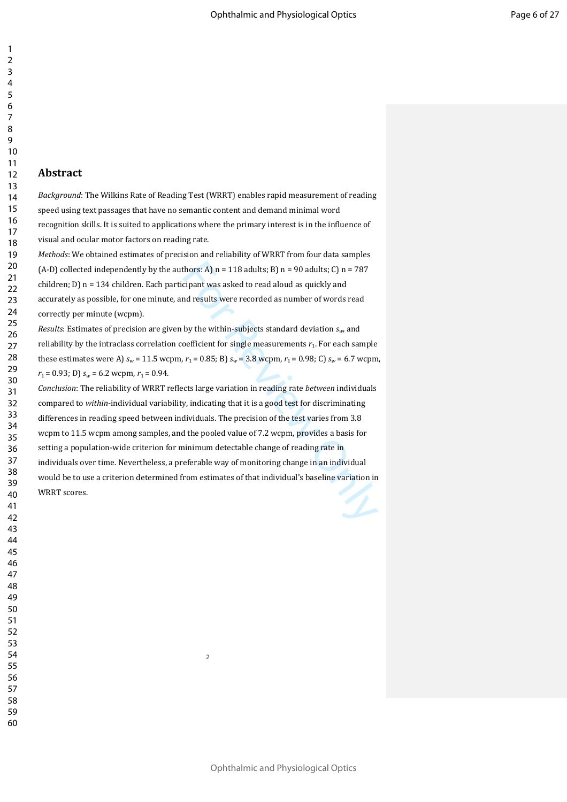# **Abstract**

*Background*: The Wilkins Rate of Reading Test (WRRT) enables rapid measurement of reading speed using text passages that have no semantic content and demand minimal word recognition skills. It is suited to applications where the primary interest is in the influence of visual and ocular motor factors on reading rate.

*Methods*: We obtained estimates of precision and reliability of WRRT from four data samples (A-D) collected independently by the authors: A)  $n = 118$  adults; B)  $n = 90$  adults; C)  $n = 787$ children; D) n = 134 children. Each participant was asked to read aloud as quickly and accurately as possible, for one minute, and results were recorded as number of words read correctly per minute (wcpm).

*Results*: Estimates of precision are given by the within-subjects standard deviation *sw*, and reliability by the intraclass correlation coefficient for single measurements *r*1. For each sample these estimates were A)  $s_w$  = 11.5 wcpm,  $r_1$  = 0.85; B)  $s_w$  = 3.8 wcpm,  $r_1$  = 0.98; C)  $s_w$  = 6.7 wcpm,  $r_1 = 0.93$ ; D)  $s_w = 6.2$  wcpm,  $r_1 = 0.94$ .

thors: A) n = 118 adults; B) n = 90 adults; C) n = 787<br>cipant was asked to read aloud as quickly and<br>and results were recorded as number of words read<br>by the within-subjects standard deviation  $s_w$ , and<br>oefficient for sin *Conclusion*: The reliability of WRRT reflects large variation in reading rate *between* individuals compared to *within*-individual variability, indicating that it is a good test for discriminating differences in reading speed between individuals. The precision of the test varies from 3.8 wcpm to 11.5 wcpm among samples, and the pooled value of 7.2 wcpm, provides a basis for setting a population-wide criterion for minimum detectable change of reading rate in individuals over time. Nevertheless, a preferable way of monitoring change in an individual would be to use a criterion determined from estimates of that individual's baseline variation in WRRT scores.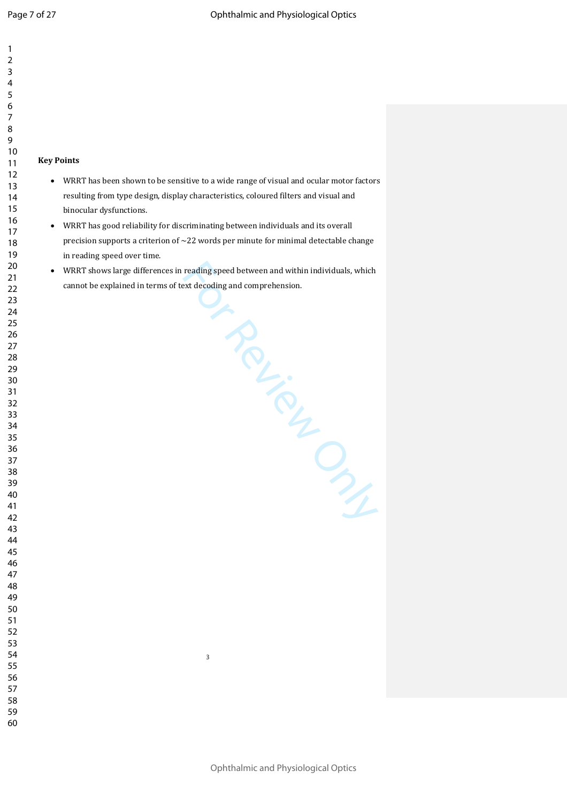$\mathbf{1}$  $\overline{2}$ 

# **Key Points**

- WRRT has been shown to be sensitive to a wide range of visual and ocular motor factors resulting from type design, display characteristics, coloured filters and visual and binocular dysfunctions.
- WRRT has good reliability for discriminating between individuals and its overall precision supports a criterion of  $\sim$  22 words per minute for minimal detectable change in reading speed over time.
- Frext decoding. WRRT shows large differences in reading speed between and within individuals, which cannot be explained in terms of text decoding and comprehension.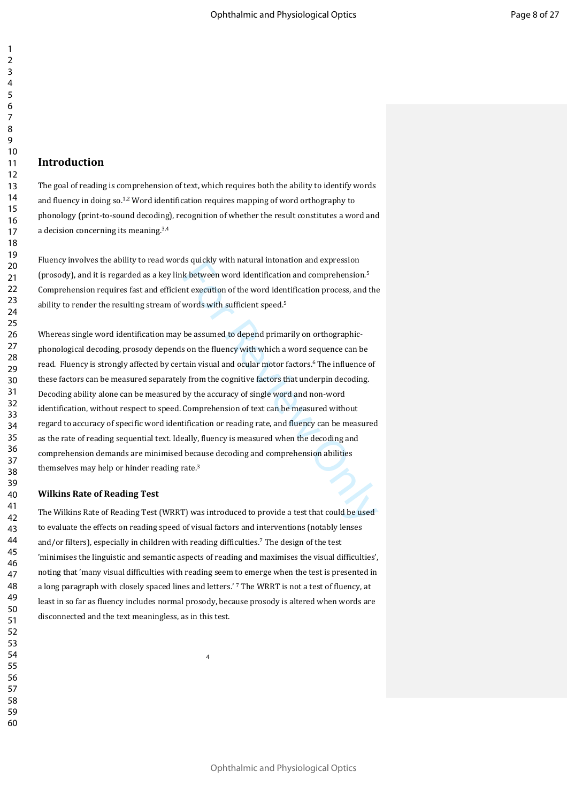# **Introduction**

The goal of reading is comprehension of text, which requires both the ability to identify words and fluency in doing so.<sup>1,2</sup> Word identification requires mapping of word orthography to phonology (print-to-sound decoding), recognition of whether the result constitutes a word and a decision concerning its meaning.3,4

Fluency involves the ability to read words quickly with natural intonation and expression (prosody), and it is regarded as a key link between word identification and comprehension.<sup>5</sup> Comprehension requires fast and efficient execution of the word identification process, and the ability to render the resulting stream of words with sufficient speed.<sup>5</sup>

Is quickly with hattra infontation and expression<br>
k between word identification and comprehension.<sup>5</sup><br>
the execution of the word identification process, and the<br>
words with sufficient speed.<sup>5</sup><br>
be assumed to depend prima Whereas single word identification may be assumed to depend primarily on orthographicphonological decoding, prosody depends on the fluency with which a word sequence can be read. Fluency is strongly affected by certain visual and ocular motor factors.<sup>6</sup> The influence of these factors can be measured separately from the cognitive factors that underpin decoding. Decoding ability alone can be measured by the accuracy of single word and non-word identification, without respect to speed. Comprehension of text can be measured without regard to accuracy of specific word identification or reading rate, and fluency can be measured as the rate of reading sequential text. Ideally, fluency is measured when the decoding and comprehension demands are minimised because decoding and comprehension abilities themselves may help or hinder reading rate.<sup>3</sup>

#### **Wilkins Rate of Reading Test**

The Wilkins Rate of Reading Test (WRRT) was introduced to provide a test that could be used to evaluate the effects on reading speed of visual factors and interventions (notably lenses and/or filters), especially in children with reading difficulties.<sup>7</sup> The design of the test 'minimises the linguistic and semantic aspects of reading and maximises the visual difficulties', noting that 'many visual difficulties with reading seem to emerge when the test is presented in a long paragraph with closely spaced lines and letters.' <sup>7</sup> The WRRT is not a test of fluency, at least in so far as fluency includes normal prosody, because prosody is altered when words are disconnected and the text meaningless, as in this test.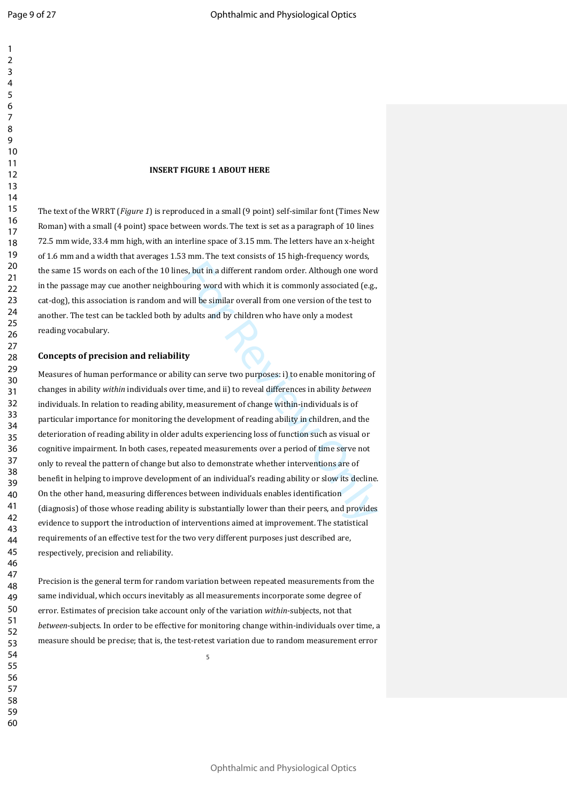$\mathbf{1}$  $\overline{2}$  $\overline{3}$ 

# 123456789  $\overline{4}$ 5 6  $\overline{7}$ 8 9 10 11 12 13 14 15 16 17 18 19 20 21 22 23 24 25 26 27 28 29 30 31 32 33 34 35 36 37 38 39 40 41 42 43 44 45 46 47 48 49 50 51 52 53 54 55 56 57 58 59

60

#### **INSERT FIGURE 1 ABOUT HERE**

The text of the WRRT (*Figure 1*) is reproduced in a small (9 point) self-similar font (Times New Roman) with a small (4 point) space between words. The text is set as a paragraph of 10 lines 72.5 mm wide, 33.4 mm high, with an interline space of 3.15 mm. The letters have an x-height of 1.6 mm and a width that averages 1.53 mm. The text consists of 15 high-frequency words, the same 15 words on each of the 10 lines, but in a different random order. Although one word in the passage may cue another neighbouring word with which it is commonly associated (e.g., cat-dog), this association is random and will be similar overall from one version of the test to another. The test can be tackled both by adults and by children who have only a modest reading vocabulary.

#### **Concepts of precision and reliability**

es, but in a different random order. Although one word<br>uring word with which it is commonly associated (e.g.,<br>will be similar overall from one version of the test to<br>adults and by children who have only a modest<br>twity can Measures of human performance or ability can serve two purposes: i) to enable monitoring of changes in ability *within* individuals over time, and ii) to reveal differences in ability *between* individuals. In relation to reading ability, measurement of change within-individuals is of particular importance for monitoring the development of reading ability in children, and the deterioration of reading ability in older adults experiencing loss of function such as visual or cognitive impairment. In both cases, repeated measurements over a period of time serve not only to reveal the pattern of change but also to demonstrate whether interventions are of benefit in helping to improve development of an individual's reading ability or slow its decline. On the other hand, measuring differences between individuals enables identification (diagnosis) of those whose reading ability is substantially lower than their peers, and provides evidence to support the introduction of interventions aimed at improvement. The statistical requirements of an effective test for the two very different purposes just described are, respectively, precision and reliability.

Precision is the general term for random variation between repeated measurements from the same individual, which occurs inevitably as all measurements incorporate some degree of error. Estimates of precision take account only of the variation *within*-subjects, not that *between*-subjects. In order to be effective for monitoring change within-individuals over time, a measure should be precise; that is, the test-retest variation due to random measurement error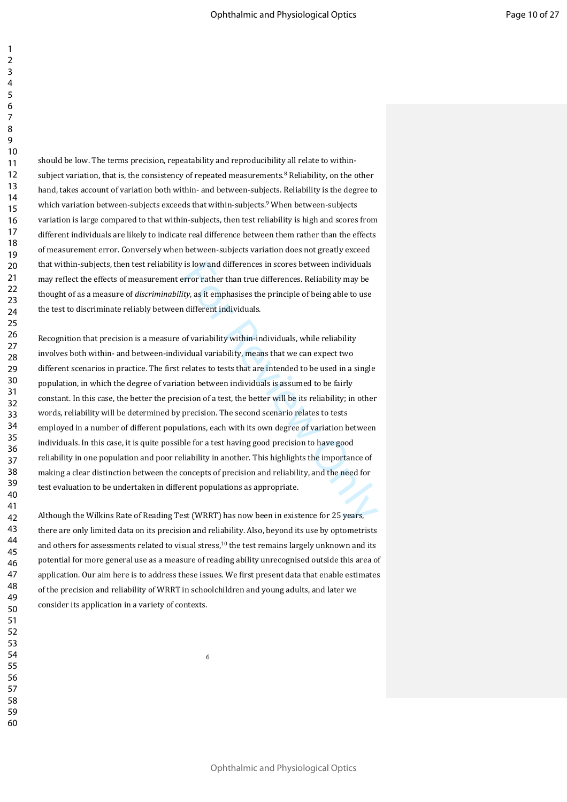should be low. The terms precision, repeatability and reproducibility all relate to withinsubject variation, that is, the consistency of repeated measurements.<sup>8</sup> Reliability, on the other hand, takes account of variation both within- and between-subjects. Reliability is the degree to which variation between-subjects exceeds that within-subjects.<sup>9</sup> When between-subjects variation is large compared to that within-subjects, then test reliability is high and scores from different individuals are likely to indicate real difference between them rather than the effects of measurement error. Conversely when between-subjects variation does not greatly exceed that within-subjects, then test reliability is low and differences in scores between individuals may reflect the effects of measurement error rather than true differences. Reliability may be thought of as a measure of *discriminability*, as it emphasises the principle of being able to use the test to discriminate reliably between different individuals.

is low and differences in scores between individuals<br>prror rather than true differences. Reliability may be<br>ty, as it emphasises the principle of being able to use<br>different individuals.<br>of variability within-individuals, Recognition that precision is a measure of variability within-individuals, while reliability involves both within- and between-individual variability, means that we can expect two different scenarios in practice. The first relates to tests that are intended to be used in a single population, in which the degree of variation between individuals is assumed to be fairly constant. In this case, the better the precision of a test, the better will be its reliability; in other words, reliability will be determined by precision. The second scenario relates to tests employed in a number of different populations, each with its own degree of variation between individuals. In this case, it is quite possible for a test having good precision to have good reliability in one population and poor reliability in another. This highlights the importance of making a clear distinction between the concepts of precision and reliability, and the need for test evaluation to be undertaken in different populations as appropriate.

Although the Wilkins Rate of Reading Test (WRRT) has now been in existence for 25 years, there are only limited data on its precision and reliability. Also, beyond its use by optometrists and others for assessments related to visual stress, the test remains largely unknown and its potential for more general use as a measure of reading ability unrecognised outside this area of application. Our aim here is to address these issues. We first present data that enable estimates of the precision and reliability of WRRT in schoolchildren and young adults, and later we consider its application in a variety of contexts.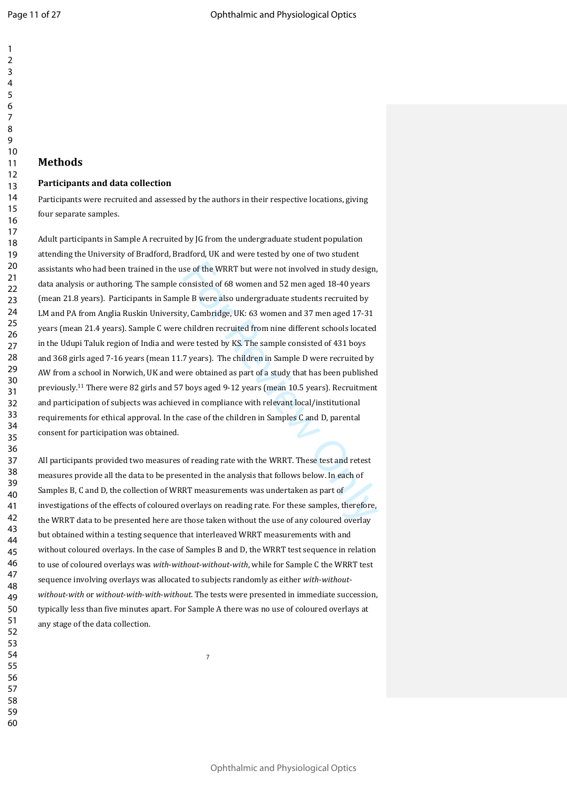$\mathbf{1}$ 

59 60

# **Methods**

# **Participants and data collection**

Participants were recruited and assessed by the authors in their respective locations, giving four separate samples.

se of the WRRT but were not involved in study design,<br>onsisted of 68 women and 52 men aged 18-40 years<br>le B were also undergraduate students recruited by<br>y, Cambridge, UK: 63 women and 37 men aged 17-31<br>children recruited Adult participants in Sample A recruited by JG from the undergraduate student population attending the University of Bradford, Bradford, UK and were tested by one of two student assistants who had been trained in the use of the WRRT but were not involved in study design, data analysis or authoring. The sample consisted of 68 women and 52 men aged 18-40 years (mean 21.8 years). Participants in Sample B were also undergraduate students recruited by LM and PA from Anglia Ruskin University, Cambridge, UK: 63 women and 37 men aged 17-31 years (mean 21.4 years). Sample C were children recruited from nine different schools located in the Udupi Taluk region of India and were tested by KS. The sample consisted of 431 boys and 368 girls aged 7-16 years (mean 11.7 years). The children in Sample D were recruited by AW from a school in Norwich, UK and were obtained as part of a study that has been published previously.<sup>11</sup> There were 82 girls and 57 boys aged 9-12 years (mean 10.5 years). Recruitment and participation of subjects was achieved in compliance with relevant local/institutional requirements for ethical approval. In the case of the children in Samples C and D, parental consent for participation was obtained.

All participants provided two measures of reading rate with the WRRT. These test and retest measures provide all the data to be presented in the analysis that follows below. In each of Samples B, C and D, the collection of WRRT measurements was undertaken as part of investigations of the effects of coloured overlays on reading rate. For these samples, therefore, the WRRT data to be presented here are those taken without the use of any coloured overlay but obtained within a testing sequence that interleaved WRRT measurements with and without coloured overlays. In the case of Samples B and D, the WRRT test sequence in relation to use of coloured overlays was *with* -*without* -*without* -*with*, while for Sample C the WRRT test sequence involving overlays was allocated to subjects randomly as either *with* -*without* without-with or without-with-with-without. The tests were presented in immediate succession, typically less than five minutes apart. For Sample A there was no use of coloured overlays at any stage of the data collection.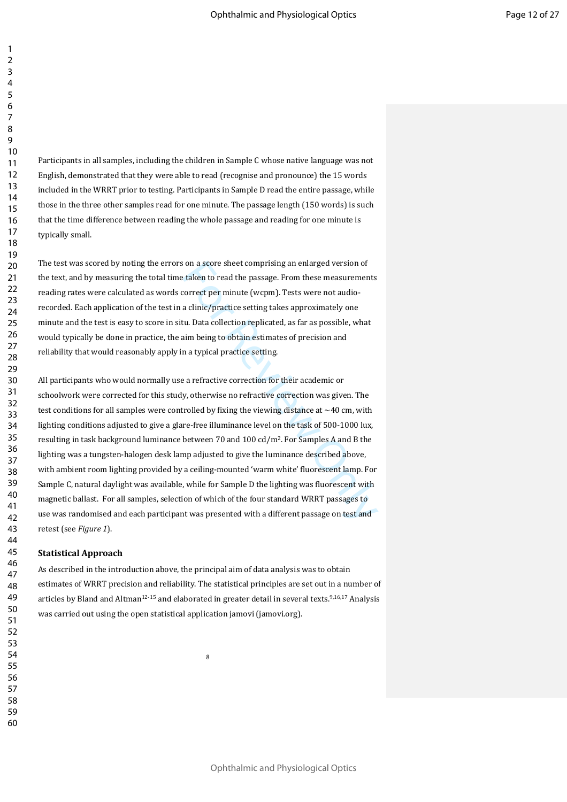Participants in all samples, including the children in Sample C whose native language was not English, demonstrated that they were able to read (recognise and pronounce) the 15 words included in the WRRT prior to testing. Participants in Sample D read the entire passage, while those in the three other samples read for one minute. The passage length (150 words) is such that the time difference between reading the whole passage and reading for one minute is typically small.

The test was scored by noting the errors on a score sheet comprising an enlarged version of the text, and by measuring the total time taken to read the passage. From these measurements reading rates were calculated as words correct per minute (wcpm). Tests were not audiorecorded. Each application of the test in a clinic/practice setting takes approximately one minute and the test is easy to score in situ. Data collection replicated, as far as possible, what would typically be done in practice, the aim being to obtain estimates of precision and reliability that would reasonably apply in a typical practice setting.

on a score sheet comprising an enlarged version of<br>taken to read the passage. From these measurements<br>correct per minute (wcpm). Tests were not audio-<br>a clinic/practice setting takes approximately one<br>tu. Data collection All participants who would normally use a refractive correction for their academic or schoolwork were corrected for this study, otherwise no refractive correction was given. The test conditions for all samples were controlled by fixing the viewing distance at ~40 cm, with lighting conditions adjusted to give a glare-free illuminance level on the task of 500-1000 lux, resulting in task background luminance between 70 and  $100 \text{ cd/m}^2$ . For Samples A and B the lighting was a tungsten-halogen desk lamp adjusted to give the luminance described above, with ambient room lighting provided by a ceiling-mounted 'warm white' fluorescent lamp. For Sample C, natural daylight was available, while for Sample D the lighting was fluorescent with magnetic ballast. For all samples, selection of which of the four standard WRRT passages to use was randomised and each participant was presented with a different passage on test and retest (see *Figure 1*).

#### **Statistical Approach**

As described in the introduction above, the principal aim of data analysis was to obtain estimates of WRRT precision and reliability. The statistical principles are set out in a number of articles by Bland and Altman<sup>12-15</sup> and elaborated in greater detail in several texts.<sup>9,16,17</sup> Analysis was carried out using the open statistical application jamovi (jamovi.org).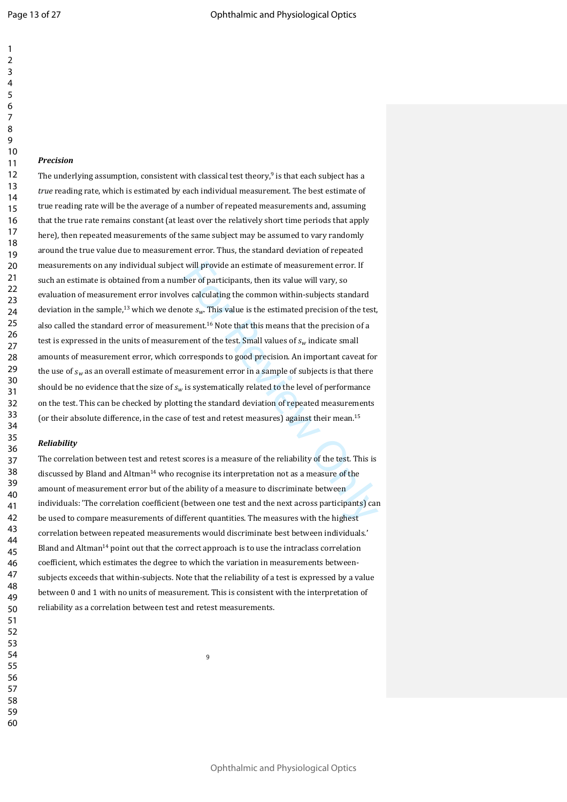$\mathbf{1}$  $\overline{2}$  $\overline{3}$  $\overline{4}$ 5 6  $\overline{7}$ 8  $\mathsf{Q}$ 

## *Precision*

i will provide an estimate of measurement error. If<br>ther of participants, then its value will vary, so<br>es calculating the common within-subjects standard<br>ote  $s_w$ . This value is the estimated precision of the test,<br>ement. The underlying assumption, consistent with classical test theory,<sup>9</sup> is that each subject has a *true* reading rate, which is estimated by each individual measurement. The best estimate of true reading rate will be the average of a number of repeated measurements and, assuming that the true rate remains constant (at least over the relatively short time periods that apply here), then repeated measurements of the same subject may be assumed to vary randomly around the true value due to measurement error. Thus, the standard deviation of repeated measurements on any individual subject will provide an estimate of measurement error. If such an estimate is obtained from a number of participants, then its value will vary, so evaluation of measurement error involves calculating the common within-subjects standard deviation in the sample,<sup>13</sup> which we denote  $s_w$ . This value is the estimated precision of the test, also called the standard error of measurement.<sup>16</sup> Note that this means that the precision of a test is expressed in the units of measurement of the test. Small values of  $s_w$  indicate small amounts of measurement error, which corresponds to good precision. An important caveat for the use of  $s_w$  as an overall estimate of measurement error in a sample of subjects is that there should be no evidence that the size of  $s_w$  is systematically related to the level of performance on the test. This can be checked by plotting the standard deviation of repeated measurements (or their absolute difference, in the case of test and retest measures) against their mean.<sup>15</sup>

## *Reliability*

The correlation between test and retest scores is a measure of the reliability of the test. This is discussed by Bland and Altman<sup>14</sup> who recognise its interpretation not as a measure of the amount of measurement error but of the ability of a measure to discriminate between individuals: 'The correlation coefficient (between one test and the next across participants) can be used to compare measurements of different quantities. The measures with the highest correlation between repeated measurements would discriminate best between individuals.' Bland and Altman<sup>14</sup> point out that the correct approach is to use the intraclass correlation coefficient, which estimates the degree to which the variation in measurements betweensubjects exceeds that within-subjects. Note that the reliability of a test is expressed by a value between 0 and 1 with no units of measurement. This is consistent with the interpretation of reliability as a correlation between test and retest measurements.

9

Ophthalmic and Physiological Optics

57 58 59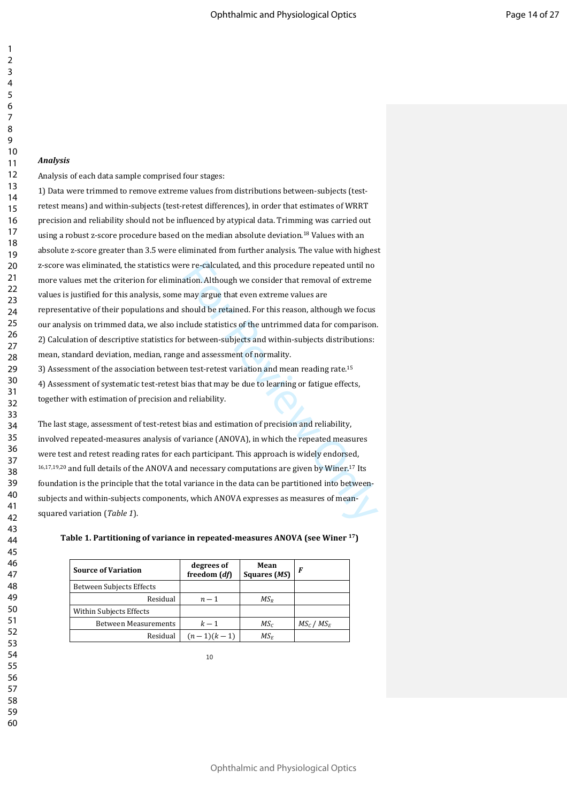# *Analysis*

 

Analysis of each data sample comprised four stages:

1) Data were trimmed to remove extreme values from distributions between-subjects (testretest means) and within-subjects (test-retest differences), in order that estimates of WRRT precision and reliability should not be influenced by atypical data. Trimming was carried out using a robust z-score procedure based on the median absolute deviation.<sup>18</sup> Values with an absolute z-score greater than 3.5 were eliminated from further analysis. The value with highest z-score was eliminated, the statistics were re-calculated, and this procedure repeated until no more values met the criterion for elimination. Although we consider that removal of extreme values is justified for this analysis, some may argue that even extreme values are representative of their populations and should be retained. For this reason, although we focus our analysis on trimmed data, we also include statistics of the untrimmed data for comparison. 2) Calculation of descriptive statistics for between-subjects and within-subjects distributions: mean, standard deviation, median, range and assessment of normality.

3) Assessment of the association between test-retest variation and mean reading rate.<sup>15</sup>

4) Assessment of systematic test-retest bias that may be due to learning or fatigue effects,

together with estimation of precision and reliability.

re re-calculated, and this procedure repeated until no<br>ation. Although we consider that removal of extreme<br>may argue that even extreme values are<br>should be retained. For this reason, although we focus<br>clude statistics of t The last stage, assessment of test-retest bias and estimation of precision and reliability, involved repeated-measures analysis of variance (ANOVA), in which the repeated measures were test and retest reading rates for each participant. This approach is widely endorsed, 16,17,19,20 and full details of the ANOVA and necessary computations are given by Winer.<sup>17</sup> Its foundation is the principle that the total variance in the data can be partitioned into betweensubjects and within-subjects components, which ANOVA expresses as measures of meansquared variation (*Table 1*).

| Table 1. Partitioning of variance in repeated-measures ANOVA (see Winer <sup>17</sup> ) |
|-----------------------------------------------------------------------------------------|
|-----------------------------------------------------------------------------------------|

| <b>Source of Variation</b>  | degrees of<br>freedom (df) | Mean<br>Squares (MS) | F             |
|-----------------------------|----------------------------|----------------------|---------------|
| Between Subjects Effects    |                            |                      |               |
| Residual                    | $n-1$                      | $MS_{B}$             |               |
| Within Subjects Effects     |                            |                      |               |
| <b>Between Measurements</b> | $k-1$                      | $MS_C$               | $MS_C / MS_E$ |
| Residual                    | $(n-1)(k-1)$               | $MS_F$               |               |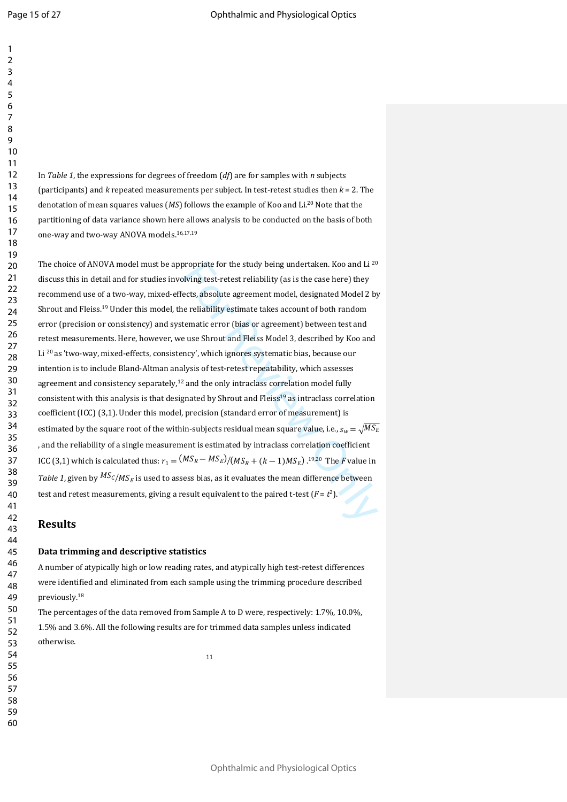$\mathbf{1}$ 

In *Table 1*, the expressions for degrees of freedom (*df*) are for samples with *n* subjects (participants) and *k* repeated measurements per subject. In test-retest studies then *k* = 2. The denotation of mean squares values (*MS*) follows the example of Koo and Li.<sup>20</sup> Note that the partitioning of data variance shown here allows analysis to be conducted on the basis of both one-way and two-way ANOVA models.16,17,19

propriate for the study being undertaken. Koo and Li <sup>20</sup><br>plving test-retest reliability (as is the case here) they<br>ects, absolute agreement model, designated Model 2 by<br>e reliability estimate takes account of both random The choice of ANOVA model must be appropriate for the study being undertaken. Koo and Li<sup>20</sup> discuss this in detail and for studies involving test-retest reliability (as is the case here) they recommend use of a two-way, mixed-effects, absolute agreement model, designated Model 2 by Shrout and Fleiss.<sup>19</sup> Under this model, the reliability estimate takes account of both random error (precision or consistency) and systematic error (bias or agreement) between test and retest measurements. Here, however, we use Shrout and Fleiss Model 3, described by Koo and Li <sup>20</sup> as 'two-way, mixed-effects, consistency', which ignores systematic bias, because our intention is to include Bland-Altman analysis of test-retest repeatability, which assesses agreement and consistency separately,<sup>12</sup> and the only intraclass correlation model fully consistent with this analysis is that designated by Shrout and Fleiss<sup>19</sup> as intraclass correlation coefficient (ICC) (3,1). Under this model, precision (standard error of measurement) is estimated by the square root of the within-subjects residual mean square value, i.e.,  $s_w\!=\!\sqrt{M S_E}$ , and the reliability of a single measurement is estimated by intraclass correlation coefficient ICC (3,1) which is calculated thus:  $r_1 = \frac{(MS_R - MS_E)/(MS_R + (k-1)MS_E)}{MS_R + (k-1)MS_E}$ .<sup>19,20</sup> The F value in *Table 1*, given by  $MSc/MS_E$  is used to assess bias, as it evaluates the mean difference between test and retest measurements, giving a result equivalent to the paired t-test  $(F = t^2)$ .

# **Results**

# **Data trimming and descriptive statistics**

A number of atypically high or low reading rates, and atypically high test-retest differences were identified and eliminated from each sample using the trimming procedure described previously.<sup>18</sup>

The percentages of the data removed from Sample A to D were, respectively: 1.7%, 10.0%, 1.5% and 3.6%. All the following results are for trimmed data samples unless indicated otherwise.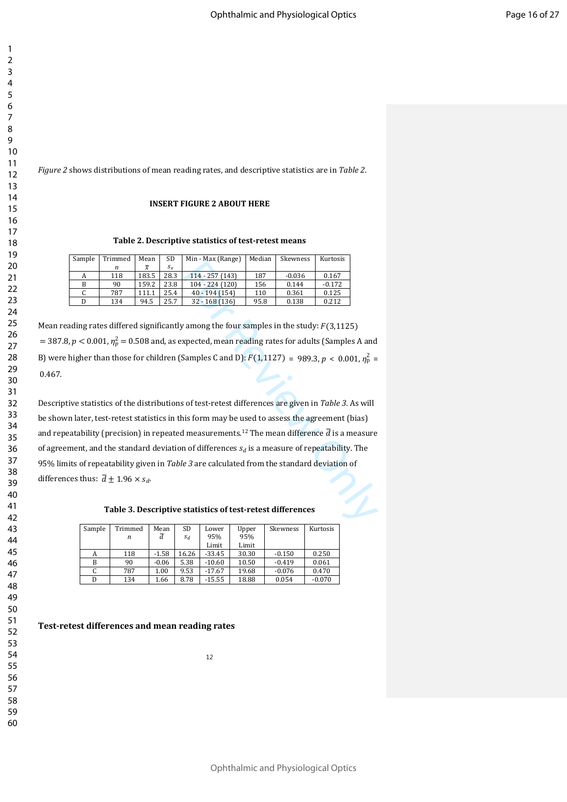*Figure 2* shows distributions of mean reading rates, and descriptive statistics are in *Table 2*.

#### **INSERT FIGURE 2 ABOUT HERE**

#### **Table 2. Descriptive statistics of test-retest means**

| Sample | Trimmed | Mean  | <b>SD</b>         | Min - Max (Range) | Median | Skewness | Kurtosis |
|--------|---------|-------|-------------------|-------------------|--------|----------|----------|
|        |         |       | $S_{\mathcal{X}}$ |                   |        |          |          |
| А      | 118     | 183.5 | 28.3              | $114 - 257(143)$  | 187    | $-0.036$ | 0.167    |
|        | 90      | 159.2 | 23.8              | $104 - 224(120)$  | 156    | 0.144    | $-0.172$ |
|        | 787     | 111.1 | 25.4              | $40 - 194(154)$   | 110    | 0.361    | 0.125    |
|        | 134     | 94.5  | 25.7              | $32 - 168(136)$   | 95.8   | 0.138    | 0.212    |

Mean reading rates differed significantly among the four samples in the study:  $F(3,1125)$ = 387.8,  $p < 0.001$ ,  $\eta_p^2 = 0.508$  and, as expected, mean reading rates for adults (Samples A and B) were higher than those for children (Samples C and D):  $F(1,1127) = 989.3, p < 0.001, \eta_p^2 =$ 0.467.

114 - 257 (143) 187 - 0.036<br>
104 - 224 (120) 156 - 0.144 - 0.172<br>
10-124 (154) 110 - 0.361 - 0.125<br>
32 - 168 (136) 95.8 - 0.138 - 0.212<br>
128 among the four samples in the study:  $F(3,1125)$ <br>
23 - 168 (136) 95.8 - 0.138 - Descriptive statistics of the distributions of test-retest differences are given in *Table 3*. As will be shown later, test-retest statistics in this form may be used to assess the agreement (bias) and repeatability (precision) in repeated measurements.<sup>12</sup> The mean difference  $\overline{d}$  is a measure of agreement, and the standard deviation of differences  $s_d$  is a measure of repeatability. The 95% limits of repeatability given in *Table 3* are calculated from the standard deviation of differences thus:  $\overline{d} \pm 1.96 \times s_d$ .

### **Table 3. Descriptive statistics of test-retest differences**

| Sample | Trimmed | Mean    | <b>SD</b> | Lower    | Upper | Skewness | Kurtosis |
|--------|---------|---------|-----------|----------|-------|----------|----------|
|        | n       | d       | $S_d$     | 95%      | 95%   |          |          |
|        |         |         |           | Limit    | Limit |          |          |
| А      | 118     | $-1.58$ | 16.26     | $-33.45$ | 30.30 | $-0.150$ | 0.250    |
| B      | 90      | $-0.06$ | 5.38      | $-10.60$ | 10.50 | $-0.419$ | 0.061    |
| C      | 787     | 1.00    | 9.53      | $-17.67$ | 19.68 | $-0.076$ | 0.470    |
| D      | 134     | 1.66    | 8.78      | $-15.55$ | 18.88 | 0.054    | $-0.070$ |

## **Test-retest differences and mean reading rates**

60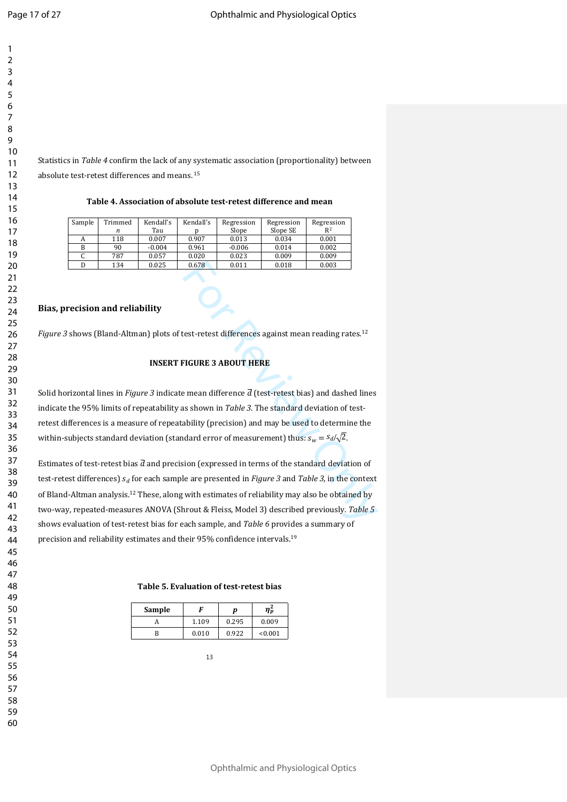$\mathbf{1}$  $\overline{2}$  $\overline{\mathbf{3}}$ 

59 60

Statistics in *Table 4* confirm the lack of any systematic association (proportionality) between absolute test-retest differences and means.<sup>15</sup>

## **Table 4. Association of absolute test-retest difference and mean**

| Sample | Kendall's<br>Trimmed |          | Kendall's<br>Regression |          | Regression | Regression |  |
|--------|----------------------|----------|-------------------------|----------|------------|------------|--|
|        | n                    | Tau      |                         | Slope    | Slope SE   | $R^2$      |  |
| А      | 118                  | 0.007    | 0.907                   | 0.013    | 0.034      | 0.001      |  |
| B      | 90                   | $-0.004$ | 0.961                   | $-0.006$ | 0.014      | 0.002      |  |
| u      | 787                  | 0.057    | 0.020                   | 0.023    | 0.009      | 0.009      |  |
|        | 134                  | 0.025    | 0.678                   | 0.011    | 0.018      | 0.003      |  |

## **Bias, precision and reliability**

*Figure 3* shows (Bland-Altman) plots of test-retest differences against mean reading rates.<sup>12</sup>

# **INSERT FIGURE 3 ABOUT HERE**

Solid horizontal lines in *Figure 3* indicate mean difference  $\overline{d}$  (test-retest bias) and dashed lines indicate the 95% limits of repeatability as shown in *Table 3*. The standard deviation of testretest differences is a measure of repeatability (precision) and may be used to determine the within-subjects standard deviation (standard error of measurement) thus:  $s_w = s_d/\sqrt{2}$ .

0.678 0.011 0.018 0.003<br>
Exect-retest differences against mean reading rates.<sup>12</sup><br>
FIGURE 3 ABOUT HERE<br>
e mean difference  $\overline{d}$  (test-retest bias) and dashed lines<br>
as shown in *Table 3*. The standard deviation of test Estimates of test-retest bias  $\bar{d}$  and precision (expressed in terms of the standard deviation of test-retest differences)  $s_d$  for each sample are presented in *Figure 3* and *Table 3*, in the context of Bland-Altman analysis.<sup>12</sup> These, along with estimates of reliability may also be obtained by two-way, repeated-measures ANOVA (Shrout & Fleiss, Model 3) described previously. *Table 5* shows evaluation of test-retest bias for each sample, and *Table 6* provides a summary of precision and reliability estimates and their 95% confidence intervals.<sup>19</sup>

#### **Table 5. Evaluation of test-retest bias**

| Sample | F     | Ŋ     | ηï      |
|--------|-------|-------|---------|
|        | 1.109 | 0.295 | 0.009   |
|        | 0.010 | 0.922 | < 0.001 |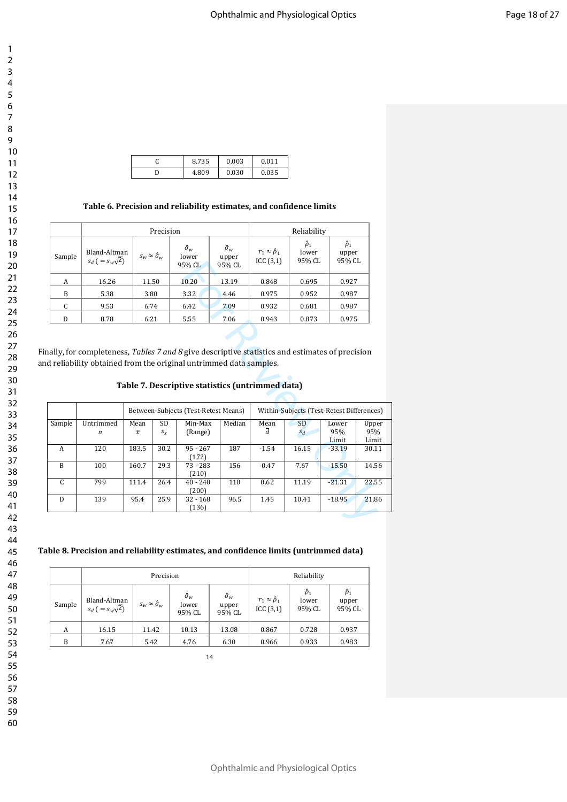| ີ | ээ<br>$\mathbf{0}$ . | 0.003          |       |
|---|----------------------|----------------|-------|
|   | τ.υ                  | 20<br>ت<br>v.v | ບ.ບວວ |

# **Table 6. Precision and reliability estimates, and confidence limits**

|        |                                           | Precision                    | Reliability                         |                                     |                                           |                                   |                                   |
|--------|-------------------------------------------|------------------------------|-------------------------------------|-------------------------------------|-------------------------------------------|-----------------------------------|-----------------------------------|
| Sample | Bland-Altman<br>$s_d$ ( = $s_w\sqrt{2}$ ) | $S_W \approx \hat{\sigma}_w$ | $\hat{\sigma}_w$<br>lower<br>95% CL | $\hat{\sigma}_w$<br>upper<br>95% CL | $r_1 \approx \hat{\rho}_1$<br>ICC $(3,1)$ | $\hat{\rho}_1$<br>lower<br>95% CL | $\hat{\rho}_1$<br>upper<br>95% CL |
| A      | 16.26                                     | 11.50                        | 10.20                               | 13.19                               | 0.848                                     | 0.695                             | 0.927                             |
| B      | 5.38                                      | 3.80                         | 3.32                                | 4.46                                | 0.975                                     | 0.952                             | 0.987                             |
| C      | 9.53                                      | 6.74                         | 6.42                                | 7.09                                | 0.932                                     | 0.681                             | 0.987                             |
| D      | 8.78                                      | 6.21                         | 5.55                                | 7.06                                | 0.943                                     | 0.873                             | 0.975                             |

# **Table 7. Descriptive statistics (untrimmed data)**

|                                                                                                                                                                                                                          | $S_d$ ( $-S_wV^2$ )           |                        |                             | 95% CL                               | 95% CL | 100(3,1)               | <b>JJ70 UL</b>                            | <b>9970 UL</b>        |                         |  |  |  |
|--------------------------------------------------------------------------------------------------------------------------------------------------------------------------------------------------------------------------|-------------------------------|------------------------|-----------------------------|--------------------------------------|--------|------------------------|-------------------------------------------|-----------------------|-------------------------|--|--|--|
| A                                                                                                                                                                                                                        | 16.26                         | 11.50                  |                             | 10.20                                | 13.19  | 0.848                  | 0.695                                     | 0.927                 |                         |  |  |  |
| B                                                                                                                                                                                                                        | 5.38                          | 3.80                   |                             | 3.32                                 | 4.46   | 0.975                  | 0.952                                     | 0.987                 |                         |  |  |  |
| C.                                                                                                                                                                                                                       | 9.53                          | 6.74                   |                             | 6.42                                 | 7.09   | 0.932                  | 0.681                                     | 0.987                 |                         |  |  |  |
| D                                                                                                                                                                                                                        | 8.78                          | 6.21                   |                             | 5.55                                 | 7.06   | 0.943                  | 0.873                                     | 0.975                 |                         |  |  |  |
| inally, for completeness, Tables 7 and 8 give descriptive statistics and estimates of precision<br>nd reliability obtained from the original untrimmed data samples.<br>Table 7. Descriptive statistics (untrimmed data) |                               |                        |                             |                                      |        |                        |                                           |                       |                         |  |  |  |
|                                                                                                                                                                                                                          |                               |                        |                             |                                      |        |                        |                                           |                       |                         |  |  |  |
|                                                                                                                                                                                                                          |                               |                        |                             | Between-Subjects (Test-Retest Means) |        |                        | Within-Subjects (Test-Retest Differences) |                       |                         |  |  |  |
| Sample                                                                                                                                                                                                                   | Untrimmed<br>$\boldsymbol{n}$ | Mean<br>$\overline{x}$ | <b>SD</b><br>$S_{\Upsilon}$ | Min-Max<br>(Range)                   | Median | Mean<br>$\overline{d}$ | <b>SD</b><br>$S_d$                        | Lower<br>95%<br>Limit | 95%                     |  |  |  |
| A                                                                                                                                                                                                                        | 120                           | 183.5                  | 30.2                        | $95 - 267$<br>(172)                  | 187    | $-1.54$                | 16.15                                     | $-33.19$              | Upper<br>Limit<br>30.11 |  |  |  |
| B                                                                                                                                                                                                                        | 100                           | 160.7                  | 29.3                        | 73 - 283<br>(210)                    | 156    | $-0.47$                | 7.67                                      | $-15.50$              |                         |  |  |  |
| $\mathsf{C}$                                                                                                                                                                                                             | 799                           | 111.4                  | 26.4                        | $40 - 240$<br>(200)                  | 110    | 0.62                   | 11.19                                     | $-21.31$              | 14.56<br>22.55          |  |  |  |

**Table 8. Precision and reliability estimates, and confidence limits (untrimmed data)**

|        |                                           | Precision                    |                                     | Reliability                         |                                        |                                   |                                   |
|--------|-------------------------------------------|------------------------------|-------------------------------------|-------------------------------------|----------------------------------------|-----------------------------------|-----------------------------------|
| Sample | Bland-Altman<br>$s_d$ ( = $s_w\sqrt{2}$ ) | $S_W \approx \hat{\sigma}_w$ | $\hat{\sigma}_w$<br>lower<br>95% CL | $\hat{\sigma}_w$<br>upper<br>95% CL | $r_1 \approx \hat{\rho}_1$<br>ICC(3,1) | $\hat{\rho}_1$<br>lower<br>95% CL | $\hat{\rho}_1$<br>upper<br>95% CL |
| A      | 16.15                                     | 11.42                        | 10.13                               | 13.08                               | 0.867                                  | 0.728                             | 0.937                             |
| B      | 7.67                                      | 5.42                         | 4.76                                | 6.30                                | 0.966                                  | 0.933                             | 0.983                             |

14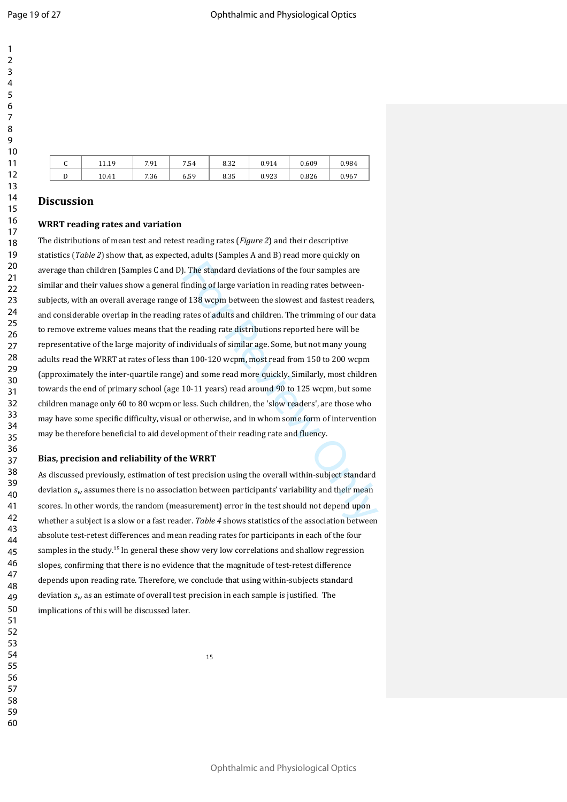| 1                             |                    |
|-------------------------------|--------------------|
| ,                             |                    |
| ξ                             |                    |
| 4                             |                    |
| 5                             |                    |
| 6                             |                    |
|                               |                    |
| ۶<br>3                        |                    |
| $\overline{\phantom{a}}$<br>J |                    |
|                               |                    |
|                               | 10                 |
| 1                             | $\mathbf{1}$       |
| $\mathbf{1}$                  | 2                  |
| Ī.                            | ξ                  |
|                               | 14                 |
|                               | 15                 |
|                               | 16                 |
| 17                            |                    |
|                               | 18                 |
| 19                            | J                  |
|                               |                    |
|                               | 20                 |
| $\overline{2}$                | 1                  |
| $\overline{ }$                | 2                  |
| $\overline{2}$                | ξ                  |
| $\overline{2}$                | 4                  |
|                               | 25                 |
|                               | 26                 |
| $\overline{\mathbf{r}}$       |                    |
|                               | 28                 |
|                               | $\frac{1}{2}$<br>١ |
|                               |                    |
|                               |                    |
|                               | 30                 |
| }                             | 1                  |
| Š                             | 2                  |
| $\mathbf{S}$                  |                    |
|                               | $\overline{34}$    |
|                               | $\overline{35}$    |
|                               | 36                 |
|                               |                    |
|                               | $\frac{1}{2}$      |
|                               | šξ<br>١            |
|                               | 39                 |
|                               | 40                 |
| 41                            |                    |
| 42                            |                    |
| 43                            |                    |
| 44                            |                    |
| 45                            |                    |
| 46                            |                    |
| 47                            |                    |
| 48                            |                    |
|                               |                    |
|                               | 49                 |
|                               | 50                 |
| 51                            |                    |
| 52                            |                    |
| $\overline{5}$                | 3                  |
| 54                            |                    |
|                               | 55                 |
| 56                            | I                  |
| 57                            | 58                 |

59 60

| ◡ | 1 Q   | 7 01 | 7.54 | റാ<br>0.32 | 0.914 | 0.609 | 0.984 |
|---|-------|------|------|------------|-------|-------|-------|
|   | 10.41 | 7.36 | 6.59 | 8.35       | 0.923 | 0.826 | 0.967 |

# **Discussion**

## **WRRT reading rates and variation**

). The standard deviations of the four samples are<br>
sinding of large variation in reading rates between-<br>
f 138 wcpm between the slowest and fastest readers,<br>
rates of adults and children. The trimming of our data<br>
e read The distributions of mean test and retest reading rates (*Figure 2*) and their descriptive statistics (*Table 2*) show that, as expected, adults (Samples A and B) read more quickly on average than children (Samples C and D). The standard deviations of the four samples are similar and their values show a general finding of large variation in reading rates betweensubjects, with an overall average range of 138 wcpm between the slowest and fastest readers, and considerable overlap in the reading rates of adults and children. The trimming of our data to remove extreme values means that the reading rate distributions reported here will be representative of the large majority of individuals of similar age. Some, but not many young adults read the WRRT at rates of less than 100-120 wcpm, most read from 150 to 200 wcpm (approximately the inter-quartile range) and some read more quickly. Similarly, most children towards the end of primary school (age 10-11 years) read around 90 to 125 wcpm, but some children manage only 60 to 80 wcpm or less. Such children, the 'slow readers', are those who may have some specific difficulty, visual or otherwise, and in whom some form of intervention may be therefore beneficial to aid development of their reading rate and fluency.

# **Bias, precision and reliability of the WRRT**

As discussed previously, estimation of test precision using the overall within-subject standard deviation  $s_w$  assumes there is no association between participants' variability and their mean scores. In other words, the random (measurement) error in the test should not depend upon whether a subject is a slow or a fast reader. *Table 4* shows statistics of the association between absolute test-retest differences and mean reading rates for participants in each of the four samples in the study.<sup>15</sup> In general these show very low correlations and shallow regression slopes, confirming that there is no evidence that the magnitude of test-retest difference depends upon reading rate. Therefore, we conclude that using within-subjects standard deviation  $s_w$  as an estimate of overall test precision in each sample is justified. The implications of this will be discussed later.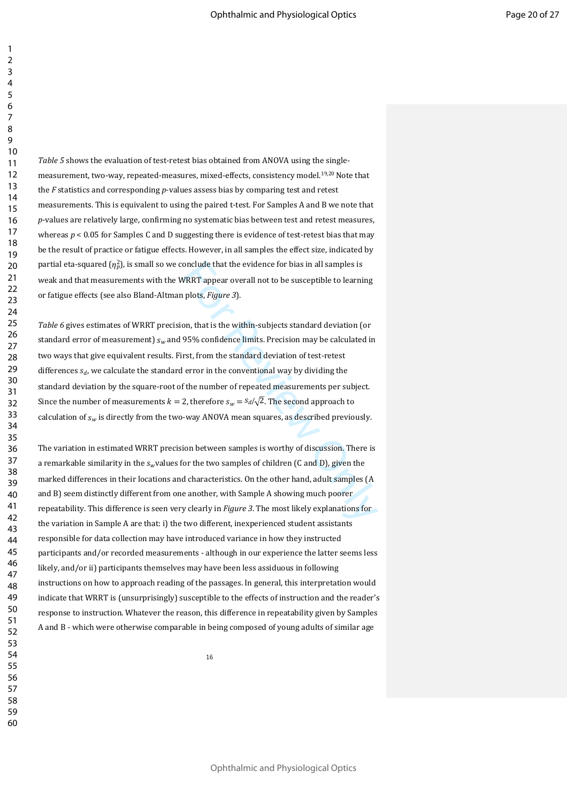*Table 5* shows the evaluation of test-retest bias obtained from ANOVA using the singlemeasurement, two-way, repeated-measures, mixed-effects, consistency model.19,20 Note that the *F* statistics and corresponding *p*-values assess bias by comparing test and retest measurements. This is equivalent to using the paired t-test. For Samples A and B we note that *p*-values are relatively large, confirming no systematic bias between test and retest measures, whereas  $p < 0.05$  for Samples C and D suggesting there is evidence of test-retest bias that may be the result of practice or fatigue effects. However, in all samples the effect size, indicated by partial eta-squared ( $\eta_p^2$ ), is small so we conclude that the evidence for bias in all samples is weak and that measurements with the WRRT appear overall not to be susceptible to learning or fatigue effects (see also Bland-Altman plots, *Figure 3*).

onclude that the evidence for bias in all samples is<br>VRRT appear overall not to be susceptible to learning<br>plots, *Figure 3*).<br>On, that is the within-subjects standard deviation (or<br>95% confidence limits. Precision may be *Table 6* gives estimates of WRRT precision, that is the within-subjects standard deviation (or standard error of measurement)  $s_w$  and 95% confidence limits. Precision may be calculated in two ways that give equivalent results. First, from the standard deviation of test-retest differences  $s_d$ , we calculate the standard error in the conventional way by dividing the standard deviation by the square-root of the number of repeated measurements per subject. Since the number of measurements  $k = 2$ , therefore  $s_w = s_d/\sqrt{2}$ . The second approach to calculation of  $s_w$  is directly from the two-way ANOVA mean squares, as described previously.

The variation in estimated WRRT precision between samples is worthy of discussion. There is a remarkable similarity in the  $s_w$  values for the two samples of children (C and D), given the marked differences in their locations and characteristics. On the other hand, adult samples (A and B) seem distinctly different from one another, with Sample A showing much poorer repeatability. This difference is seen very clearly in *Figure 3*. The most likely explanations for the variation in Sample A are that: i) the two different, inexperienced student assistants responsible for data collection may have introduced variance in how they instructed participants and/or recorded measurements - although in our experience the latter seems less likely, and/or ii) participants themselves may have been less assiduous in following instructions on how to approach reading of the passages. In general, this interpretation would indicate that WRRT is (unsurprisingly) susceptible to the effects of instruction and the reader's response to instruction. Whatever the reason, this difference in repeatability given by Samples A and B - which were otherwise comparable in being composed of young adults of similar age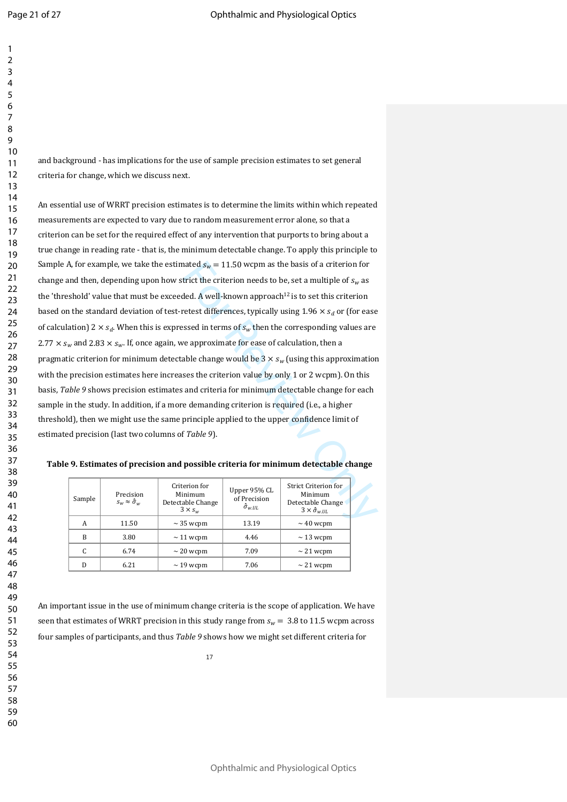$\mathbf{1}$  $\overline{2}$  $\overline{\mathbf{3}}$  $\overline{4}$ 5 6  $\overline{7}$ 8 9

and background - has implications for the use of sample precision estimates to set general criteria for change, which we discuss next.

aated  $s_w = 11.50$  wcpm as the basis of a criterion for<br>trict the criterion needs to be, set a multiple of  $s_w$  as<br>ded. A well-known approach<sup>12</sup> is to set this criterion<br>retest differences, typically using 1.96 ×  $s_d$  or An essential use of WRRT precision estimates is to determine the limits within which repeated measurements are expected to vary due to random measurement error alone, so that a criterion can be set for the required effect of any intervention that purports to bring about a true change in reading rate - that is, the minimum detectable change. To apply this principle to Sample A, for example, we take the estimated  $s_w = 11.50$  wcpm as the basis of a criterion for change and then, depending upon how strict the criterion needs to be, set a multiple of  $s_w$  as the 'threshold' value that must be exceeded. A well-known approach<sup>12</sup> is to set this criterion based on the standard deviation of test-retest differences, typically using  $1.96 \times s_d$  or (for ease of calculation)  $2 \times s_d$ . When this is expressed in terms of  $s_w$  then the corresponding values are 2.77  $\times$  s<sub>w</sub> and 2.83  $\times$  s<sub>w</sub>. If, once again, we approximate for ease of calculation, then a pragmatic criterion for minimum detectable change would be  $3 \times s_w$  (using this approximation with the precision estimates here increases the criterion value by only 1 or 2 wcpm). On this basis, *Table 9* shows precision estimates and criteria for minimum detectable change for each sample in the study. In addition, if a more demanding criterion is required (i.e., a higher threshold), then we might use the same principle applied to the upper confidence limit of estimated precision (last two columns of *Table 9*).

| Table 9. Estimates of precision and possible criteria for minimum detectable change |  |
|-------------------------------------------------------------------------------------|--|
|                                                                                     |  |

| Sample | Precision<br>$S_w \approx \hat{\sigma}_w$ | Criterion for<br>Minimum<br>Detectable Change<br>$3 \times s_w$ | Upper 95% CL<br>of Precision<br>$\hat{\sigma}_{w,III.}$ | Strict Criterion for<br>Minimum<br>Detectable Change<br>$3 \times \hat{\sigma}_{wIII.}$ |
|--------|-------------------------------------------|-----------------------------------------------------------------|---------------------------------------------------------|-----------------------------------------------------------------------------------------|
| A      | 11.50                                     | $\sim$ 35 wcpm                                                  | 13.19                                                   | $\sim$ 40 wcpm                                                                          |
| B      | 3.80                                      | $\sim$ 11 wcpm                                                  | 4.46                                                    | $\sim$ 13 wcpm                                                                          |
|        | 6.74                                      | $\sim$ 20 wcpm                                                  | 7.09                                                    | $\sim$ 21 wcpm                                                                          |
|        | 6.21                                      | $\sim$ 19 wcpm                                                  | 7.06                                                    | $\sim$ 21 wcpm                                                                          |

An important issue in the use of minimum change criteria is the scope of application. We have seen that estimates of WRRT precision in this study range from  $s_w = 3.8$  to 11.5 wcpm across four samples of participants, and thus *Table 9* shows how we might set different criteria for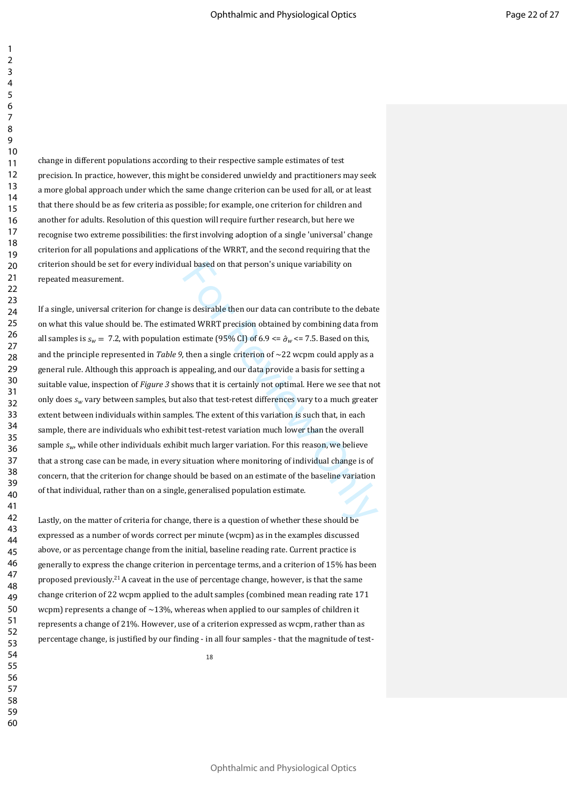change in different populations according to their respective sample estimates of test precision. In practice, however, this might be considered unwieldy and practitioners may seek a more global approach under which the same change criterion can be used for all, or at least that there should be as few criteria as possible; for example, one criterion for children and another for adults. Resolution of this question will require further research, but here we recognise two extreme possibilities: the first involving adoption of a single 'universal' change criterion for all populations and applications of the WRRT, and the second requiring that the criterion should be set for every individual based on that person's unique variability on repeated measurement.

aal based on that person's unique variability on<br>is desirable then our data can contribute to the debate<br>ted WRRT precision obtained by combining data from<br>estimate (95% CI) of 6.9 <=  $\hat{\sigma}_w$  <= 7.5. Based on this,<br>then If a single, universal criterion for change is desirable then our data can contribute to the debate on what this value should be. The estimated WRRT precision obtained by combining data from all samples is  $s_w = 7.2$ , with population estimate (95% CI) of 6.9  $\lt = \hat{\sigma}_w \lt = 7.5$ . Based on this, and the principle represented in *Table 9*, then a single criterion of  $\sim$  22 wcpm could apply as a general rule. Although this approach is appealing, and our data provide a basis for setting a suitable value, inspection of *Figure 3* shows that it is certainly not optimal. Here we see that not only does  $s_w$  vary between samples, but also that test-retest differences vary to a much greater extent between individuals within samples. The extent of this variation is such that, in each sample, there are individuals who exhibit test-retest variation much lower than the overall sample  $s_w$ , while other individuals exhibit much larger variation. For this reason, we believe that a strong case can be made, in every situation where monitoring of individual change is of concern, that the criterion for change should be based on an estimate of the baseline variation of that individual, rather than on a single, generalised population estimate.

Lastly, on the matter of criteria for change, there is a question of whether these should be expressed as a number of words correct per minute (wcpm) as in the examples discussed above, or as percentage change from the initial, baseline reading rate. Current practice is generally to express the change criterion in percentage terms, and a criterion of 15% has been proposed previously.<sup>21</sup>A caveat in the use of percentage change, however, is that the same change criterion of 22 wcpm applied to the adult samples (combined mean reading rate 171 wcpm) represents a change of  $\sim$ 13%, whereas when applied to our samples of children it represents a change of 21%. However, use of a criterion expressed as wcpm, rather than as percentage change, is justified by our finding - in all four samples - that the magnitude of test-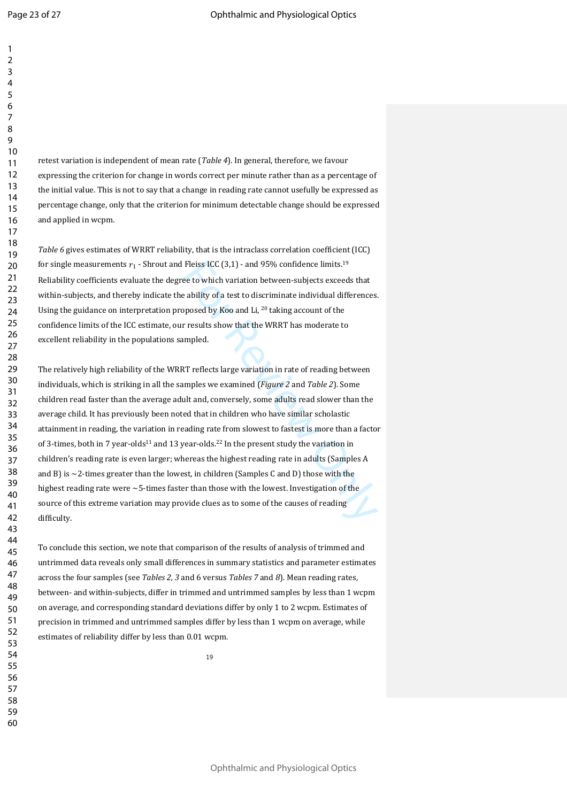$\mathbf{1}$  $\overline{2}$  $\overline{3}$  $\overline{4}$ 5 6  $\overline{7}$ 8 9

retest variation is independent of mean rate (*Table 4*). In general, therefore, we favour expressing the criterion for change in words correct per minute rather than as a percentage of the initial value. This is not to say that a change in reading rate cannot usefully be expressed as percentage change, only that the criterion for minimum detectable change should be expressed and applied in wcpm.

*Table 6* gives estimates of WRRT reliability, that is the intraclass correlation coefficient (ICC) for single measurements  $r_1$  - Shrout and Fleiss ICC (3,1) - and 95% confidence limits.<sup>19</sup> Reliability coefficients evaluate the degree to which variation between-subjects exceeds that within-subjects, and thereby indicate the ability of a test to discriminate individual differences. Using the guidance on interpretation proposed by Koo and Li, <sup>20</sup> taking account of the confidence limits of the ICC estimate, our results show that the WRRT has moderate to excellent reliability in the populations sampled.

Fleiss ICC (3,1) - and 95% confidence limits.<sup>19</sup><br>ee to which variation between-subjects exceeds that<br>e ability of a test to discriminate individual differences.<br>pposed by Koo and Li, <sup>20</sup> taking account of the<br>r results The relatively high reliability of the WRRT reflects large variation in rate of reading between individuals, which is striking in all the samples we examined (*Figure 2* and *Table 2*). Some children read faster than the average adult and, conversely, some adults read slower than the average child. It has previously been noted that in children who have similar scholastic attainment in reading, the variation in reading rate from slowest to fastest is more than a factor of 3-times, both in 7 year-olds<sup>11</sup> and 13 year-olds.<sup>22</sup> In the present study the variation in children's reading rate is even larger; whereas the highest reading rate in adults (Samples A and B) is  $\sim$ 2-times greater than the lowest, in children (Samples C and D) those with the highest reading rate were ~5-times faster than those with the lowest. Investigation of the source of this extreme variation may provide clues as to some of the causes of reading difficulty.

To conclude this section, we note that comparison of the results of analysis of trimmed and untrimmed data reveals only small differences in summary statistics and parameter estimates across the four samples (see *Tables 2, 3* and 6 versus *Tables 7* and *8*). Mean reading rates, between- and within-subjects, differ in trimmed and untrimmed samples by less than 1 wcpm on average, and corresponding standard deviations differ by only 1 to 2 wcpm. Estimates of precision in trimmed and untrimmed samples differ by less than 1 wcpm on average, while estimates of reliability differ by less than 0.01 wcpm.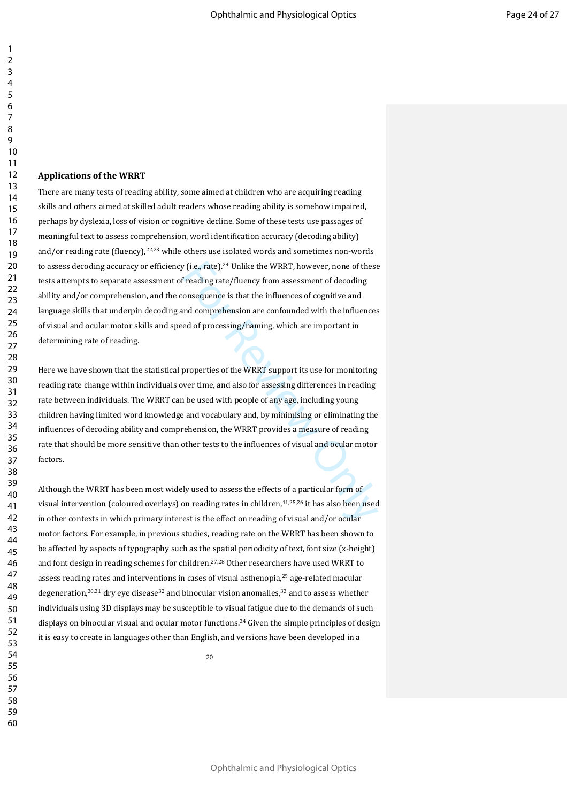#### **Applications of the WRRT**

There are many tests of reading ability, some aimed at children who are acquiring reading skills and others aimed at skilled adult readers whose reading ability is somehow impaired, perhaps by dyslexia, loss of vision or cognitive decline. Some of these tests use passages of meaningful text to assess comprehension, word identification accuracy (decoding ability) and/or reading rate (fluency), $22,23$  while others use isolated words and sometimes non-words to assess decoding accuracy or efficiency (i.e., rate).<sup>24</sup> Unlike the WRRT, however, none of these tests attempts to separate assessment of reading rate/fluency from assessment of decoding ability and/or comprehension, and the consequence is that the influences of cognitive and language skills that underpin decoding and comprehension are confounded with the influences of visual and ocular motor skills and speed of processing/naming, which are important in determining rate of reading.

*r* (i.e., rate).<sup>24</sup> Unlike the WRRT, however, none of these freading rate/fluency from assessment of decoding onsequence is that the influences of cognitive and and comprehension are confounded with the influences ed of Here we have shown that the statistical properties of the WRRT support its use for monitoring reading rate change within individuals over time, and also for assessing differences in reading rate between individuals. The WRRT can be used with people of any age, including young children having limited word knowledge and vocabulary and, by minimising or eliminating the influences of decoding ability and comprehension, the WRRT provides a measure of reading rate that should be more sensitive than other tests to the influences of visual and ocular motor factors.

Although the WRRT has been most widely used to assess the effects of a particular form of visual intervention (coloured overlays) on reading rates in children,<sup>11,25,26</sup> it has also been used in other contexts in which primary interest is the effect on reading of visual and/or ocular motor factors. For example, in previous studies, reading rate on the WRRT has been shown to be affected by aspects of typography such as the spatial periodicity of text, font size (x-height) and font design in reading schemes for children.<sup>27,28</sup> Other researchers have used WRRT to assess reading rates and interventions in cases of visual asthenopia,<sup>29</sup> age-related macular degeneration,  $30,31$  dry eye disease  $32$  and binocular vision anomalies,  $33$  and to assess whether individuals using 3D displays may be susceptible to visual fatigue due to the demands of such displays on binocular visual and ocular motor functions.<sup>34</sup> Given the simple principles of design it is easy to create in languages other than English, and versions have been developed in a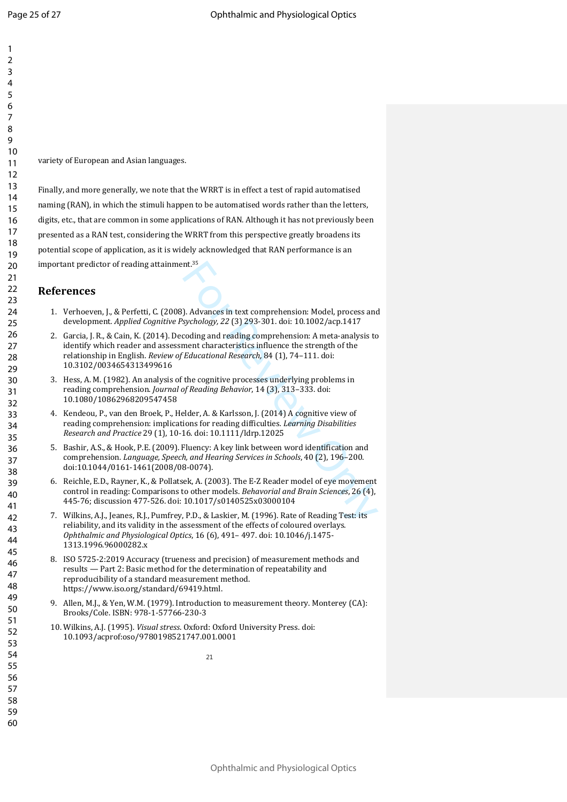$\mathbf{1}$  $\overline{2}$  $\overline{3}$ 

60

variety of European and Asian languages.

Finally, and more generally, we note that the WRRT is in effect a test of rapid automatised naming (RAN), in which the stimuli happen to be automatised words rather than the letters, digits, etc., that are common in some applications of RAN. Although it has not previously been presented as a RAN test, considering the WRRT from this perspective greatly broadens its potential scope of application, as it is widely acknowledged that RAN performance is an important predictor of reading attainment.<sup>35</sup>

# **References**

- 1. Verhoeven, J., & Perfetti, C. (2008). Advances in text comprehension: Model, process and development*. Applied Cognitive Psychology, 22* (3) 293-301. doi: 10.1002/acp.1417
- nt.<sup>35</sup><br>
1. Advances in text comprehension: Model, process and<br>
sychology, 22 (3) 293-301. doi: 10.1002/acp.1417<br>
coding and reading comprehension: A meta-analysis to<br>
ment characteristics influence the strength of the<br> *E* 2. Garcia, J. R., & Cain, K. (2014). Decoding and reading comprehension: A meta-analysis to identify which reader and assessment characteristics influence the strength of the relationship in English. *Review of Educational Research,* 84 (1), 74–111. doi: 10.3102/0034654313499616
- 3. Hess, A. M. (1982). An analysis of the cognitive processes underlying problems in reading comprehension. *Journal of Reading Behavior*, 14 (3), 313–333. doi: 10.1080/10862968209547458
- 4. Kendeou, P., van den Broek, P., Helder, A. & Karlsson, J. (2014) A cognitive view of reading comprehension: implications for reading difficulties*. Learning Disabilities Research and Practice* 29 (1), 10-16. doi: 10.1111/ldrp.12025
- 5. Bashir, A.S., & Hook, P.E. (2009). Fluency: A key link between word identification and comprehension. *Language, Speech, and Hearing Services in Schools*, 40 (2), 196–200. doi:10.1044/0161-1461(2008/08-0074).
- 6. Reichle, E.D., Rayner, K., & Pollatsek, A. (2003). The E-Z Reader model of eye movement control in reading: Comparisons to other models. *Behavorial and Brain Sciences*, 26 (4), 445-76; discussion 477-526. doi: 10.1017/s0140525x03000104
- 7. Wilkins, A.J., Jeanes, R.J., Pumfrey, P.D., & Laskier, M. (1996). Rate of Reading Test: its reliability, and its validity in the assessment of the effects of coloured overlays. *Ophthalmic and Physiological Optics*, 16 (6), 491– 497. doi: 10.1046/j.1475- 1313.1996.96000282.x
- 8. ISO 5725-2:2019 Accuracy (trueness and precision) of measurement methods and results — Part 2: Basic method for the determination of repeatability and reproducibility of a standard measurement method. https://www.iso.org/standard/69419.html.
- 9. Allen, M.J., & Yen, W.M. (1979). Introduction to measurement theory. Monterey (CA): Brooks/Cole. ISBN: 978-1-57766-230-3
- 10. Wilkins, A.J. (1995). *Visual stress*. Oxford: Oxford University Press. doi: 10.1093/acprof:oso/9780198521747.001.0001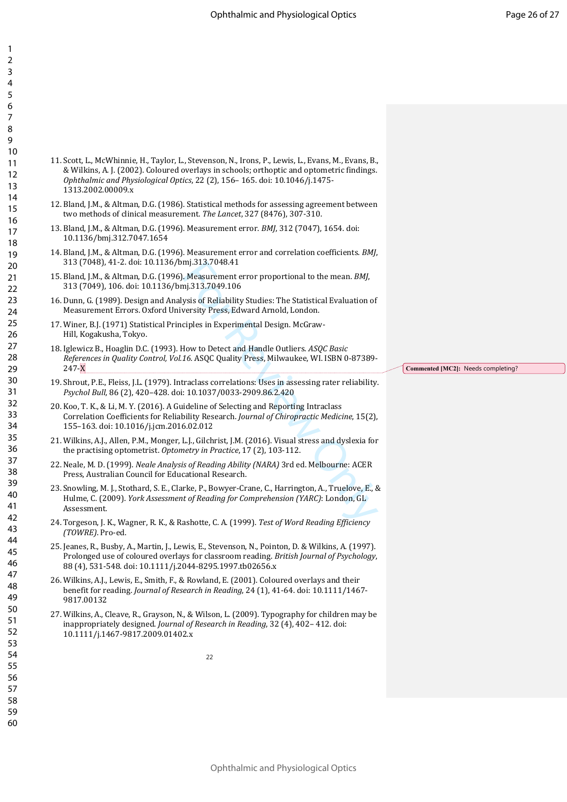1

- 11. Scott, L., McWhinnie, H., Taylor, L., Stevenson, N., Irons, P., Lewis, L., Evans, M., Evans, B., & Wilkins, A. J. (2002). Coloured overlays in schools; orthoptic and optometric findings. *Ophthalmic and Physiological Optics*, 22 (2), 156– 165. doi: 10.1046/j.1475- 1313.2002.00009.x
- 12. Bland, J.M., & Altman, D.G. (1986). Statistical methods for assessing agreement between two methods of clinical measurement. *The Lancet*, 327 (8476), 307-310.
- 13. Bland, J.M., & Altman, D.G. (1996). Measurement error. *BMJ*, 312 (7047), 1654. doi: 10.1136/bmj.312.7047.1654
- 14. Bland, J.M., & Altman, D.G. (1996). Measurement error and correlation coefficients. *BMJ*, 313 (7048), 41-2. doi: 10.1136/bmj.313.7048.41
- 15. Bland, J.M., & Altman, D.G. (1996). Measurement error proportional to the mean. *BMJ*, 313 (7049), 106. doi: 10.1136/bmj.313.7049.106
- 16. Dunn, G. (1989). Design and Analysis of Reliability Studies: The Statistical Evaluation of Measurement Errors. Oxford University Press, Edward Arnold, London.
- 17. Winer, B.J. (1971) Statistical Principles in Experimental Design. McGraw-Hill, Kogakusha, Tokyo.
- 18. Iglewicz B., Hoaglin D.C. (1993). How to Detect and Handle Outliers. *ASQC Basic References in Quality Control, Vol.16.* ASQC Quality Press, Milwaukee, WI. ISBN 0-87389- 247-X
- 19. Shrout, P.E., Fleiss, J.L. (1979). Intraclass correlations: Uses in assessing rater reliability. *Psychol Bull*, 86 (2), 420–428. doi: 10.1037/0033-2909.86.2.420
- 20. Koo, T. K., & Li, M. Y. (2016). A Guideline of Selecting and Reporting Intraclass Correlation Coefficients for Reliability Research. *Journal of Chiropractic Medicine*, 15(2), 155–163. doi: 10.1016/j.jcm.2016.02.012
- 21. Wilkins, A.J., Allen, P.M., Monger, L.J., Gilchrist, J.M. (2016). Visual stress and dyslexia for the practising optometrist. *Optometry in Practice*, 17 (2), 103-112.
- 22. Neale, M. D. (1999). *Neale Analysis of Reading Ability (NARA)* 3rd ed. Melbourne: ACER Press, Australian Council for Educational Research.
- mj.313.7048.41<br>
Measurement error proportional to the mean. *BMJ*,<br>
nj.313.7049.106<br>
sysis of Reliability Studies: The Statistical Evaluation of<br>
versity Press, Edward Arnold, London.<br>
ciples in Experimental Design. McGraw 23. Snowling, M. J., Stothard, S. E., Clarke, P., Bowyer-Crane, C., Harrington, A., Truelove, E., & Hulme, C. (2009). *York Assessment of Reading for Comprehension (YARC)*: London, GL Assessment.
- 24. Torgeson, J. K., Wagner, R. K., & Rashotte, C. A. (1999). *Test of Word Reading Efficiency (TOWRE)*. Pro-ed.
- 25. Jeanes, R., Busby, A., Martin, J., Lewis, E., Stevenson, N., Pointon, D. & Wilkins, A. (1997). Prolonged use of coloured overlays for classroom reading. *British Journal of Psychology*, 88 (4), 531-548. doi: 10.1111/j.2044-8295.1997.tb02656.x
- 26. Wilkins, A.J., Lewis, E., Smith, F., & Rowland, E. (2001). Coloured overlays and their benefit for reading. *Journal of Research in Reading*, 24 (1), 41-64. doi: 10.1111/1467- 9817.00132
- 27. Wilkins, A., Cleave, R., Grayson, N., & Wilson, L. (2009). Typography for children may be inappropriately designed. *Journal of Research in Reading*, 32 (4), 402– 412. doi: 10.1111/j.1467-9817.2009.01402.x

**Commented [MC2]:** Needs completing?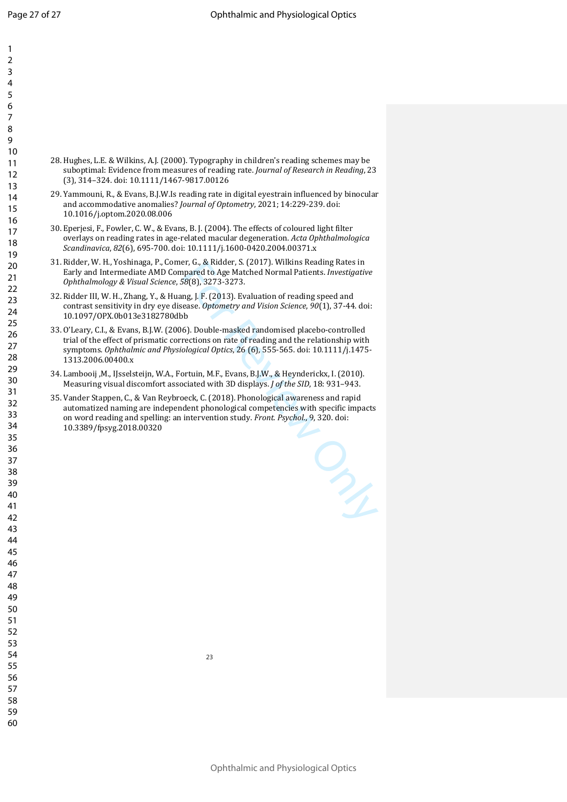$\mathbf{1}$  $\overline{2}$ 

- 28. Hughes, L.E. & Wilkins, A.J. (2000). Typography in children's reading schemes may be suboptimal: Evidence from measures of reading rate. *Journal of Research in Reading*, 23 (3), 314–324. doi: 10.1111/1467-9817.00126
- 29. Yammouni, R., & Evans, B.J.W.Is reading rate in digital eyestrain influenced by binocular and accommodative anomalies? *Journal of Optometry*, 2021; 14:229-239. doi: 10.1016/j.optom.2020.08.006
- 30. Eperjesi, F., Fowler, C. W., & Evans, B. J. (2004). The effects of coloured light filter overlays on reading rates in age-related macular degeneration. *Acta Ophthalmologica Scandinavica*, *82*(6), 695-700. doi: 10.1111/j.1600-0420.2004.00371.x
- 31. Ridder, W. H., Yoshinaga, P., Comer, G., & Ridder, S. (2017). Wilkins Reading Rates in Early and Intermediate AMD Compared to Age Matched Normal Patients. *Investigative Ophthalmology & Visual Science*, *58*(8), 3273-3273.
- 32. Ridder III, W. H., Zhang, Y., & Huang, J. F. (2013). Evaluation of reading speed and contrast sensitivity in dry eye disease. *Optometry and Vision Science*, *90*(1), 37-44. doi: 10.1097/OPX.0b013e3182780dbb
- 33. O'Leary, C.I., & Evans, B.J.W. (2006). Double-masked randomised placebo-controlled trial of the effect of prismatic corrections on rate of reading and the relationship with symptoms. *Ophthalmic and Physiological Optics*, 26 (6), 555-565. doi: 10.1111/j.1475- 1313.2006.00400.x
- 34. Lambooij ,M., IJsselsteijn, W.A., Fortuin, M.F., Evans, B.J.W., & Heynderickx, I. (2010). Measuring visual discomfort associated with 3D displays. *J of the SID*, 18: 931–943.
- er, G., & Ridder, S. (2017). Wilkins Reading Rates in<br>pared to Age Matcheld Normal Patients. *Investigative*<br>parel 3. *Review Only 273-3273*.<br>For *Review and Vision Science*, 90(1), 37-44. doi:<br>6). Double-masked randomised 35. Vander Stappen, C., & Van Reybroeck, C. (2018). Phonological awareness and rapid automatized naming are independent phonological competencies with specific impacts on word reading and spelling: an intervention study. *Front. Psychol.*, 9, 320. doi: 10.3389/fpsyg.2018.00320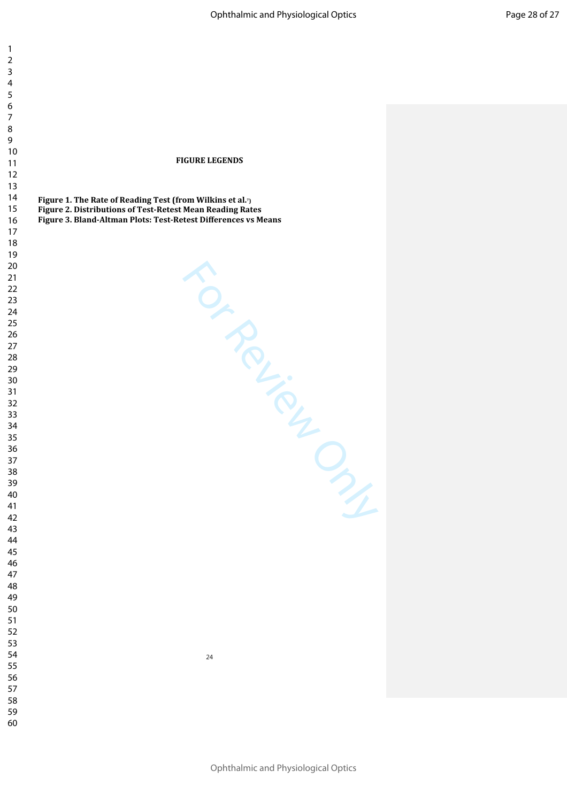# **FIGURE LEGENDS**

**Figure 1. The Rate of Reading Test (from Wilkins et al.7) Figure 2. Distributions of Test-Retest Mean Reading Rates Figure 3. Bland-Altman Plots: Test-Retest Differences vs Means**

For Review Only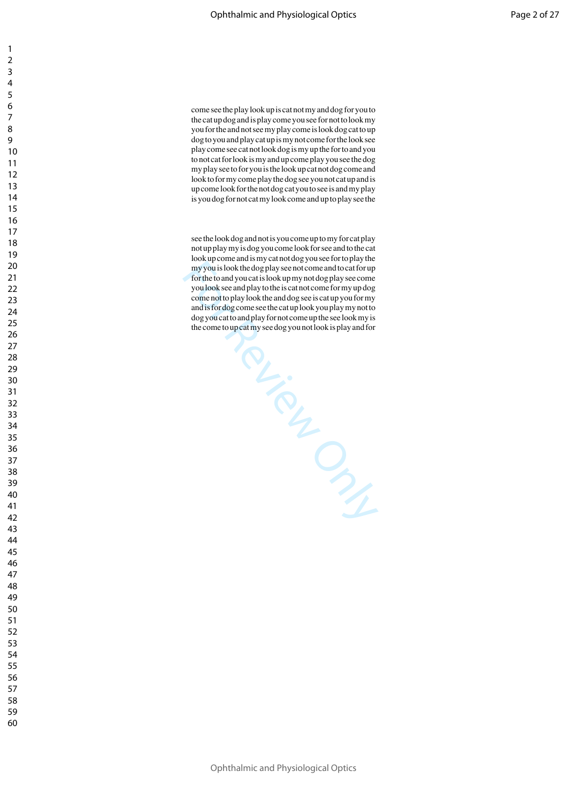come see theplaylookupis catnotmyanddogforyouto the catupdogandisplaycomeyou see fornottolookmy youforthe andnotseemyplaycome islookdogcattoup dogtoyouandplaycatupismynot come forthe looksee playcome see catnotlookdogismyupthe fortoandyou tonot catforlookismyandupcomeplayyousee th edog myplaysee toforyouisthe lookupcatnotdogcome and looktoformycomeplaythedogseeyounot catupandis upcome lookforthenotdogcatyoutosee is andmyplay isyoudogfornot catmylookcome anduptoplaysee the

 $\mathbf{1}$  $\overline{2}$  $\overline{\mathbf{3}}$  $\overline{4}$  $\overline{7}$ 

see the lookdogandnotisyoucomeuptomyfor catplay notupplaymyisdogyoucome lookforsee andtothe cat lookupcome andismycatnotdogyousee fortoplaythe myyouislookthedogplayseenot come andtocatforup forthe toandyo ucatislookupmynotdogplaysee come youlooksee andplaytothe is catnot come formyupdog comenottoplaylookthe anddogsee is catupyouformy andisfordogcome see the catuplookyouplaymynotto dogyoucattoandplayfornot comeupthe see lookmyis the come toupcatmyseedogyounotlookisplayandfor

For Review Only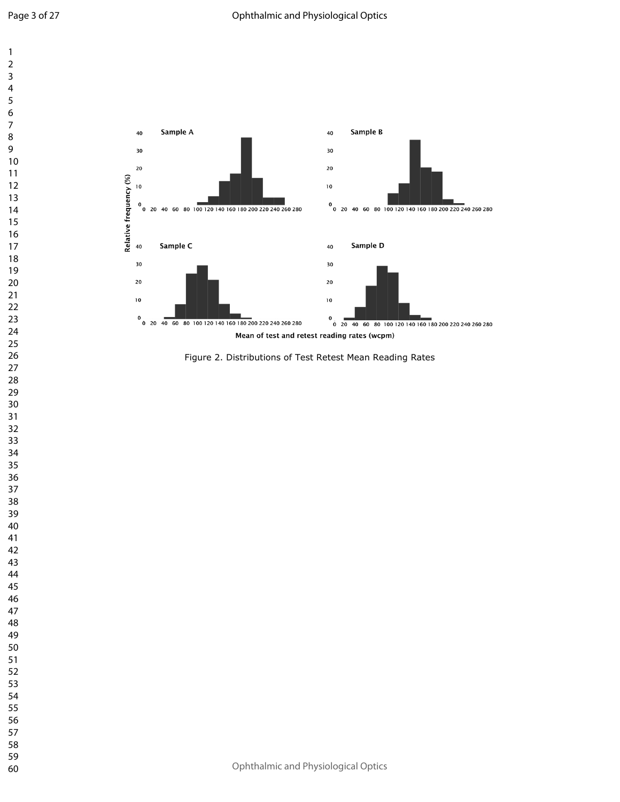$\mathbf{1}$  $\overline{2}$  $\overline{7}$ 



Figure 2. Distributions of Test Retest Mean Reading Rates